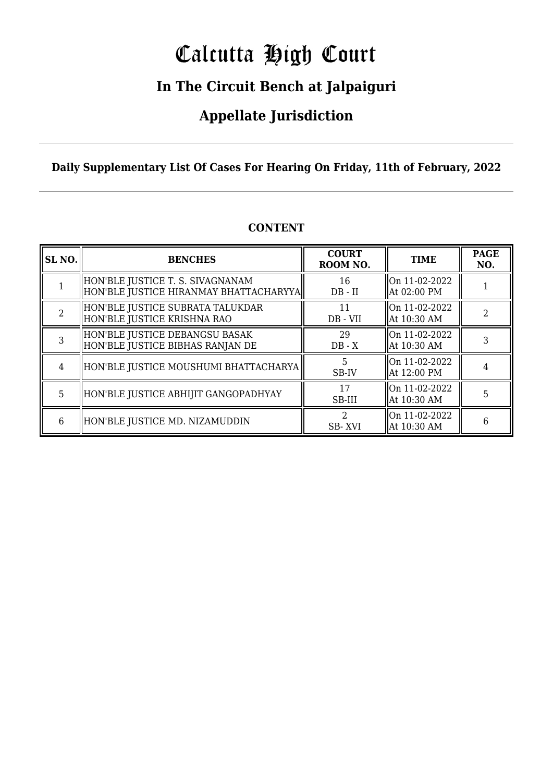# Calcutta High Court

### **In The Circuit Bench at Jalpaiguri**

### **Appellate Jurisdiction**

**Daily Supplementary List Of Cases For Hearing On Friday, 11th of February, 2022**

| SL <sub>NO.</sub> | <b>BENCHES</b>                                                              | <b>COURT</b><br>ROOM NO. | <b>TIME</b>                  | <b>PAGE</b><br>NO. |
|-------------------|-----------------------------------------------------------------------------|--------------------------|------------------------------|--------------------|
|                   | HON'BLE JUSTICE T. S. SIVAGNANAM<br> HON'BLE JUSTICE HIRANMAY BHATTACHARYYA | 16<br>$DB - II$          | On 11-02-2022<br>At 02:00 PM |                    |
| $\mathcal{D}$     | HON'BLE JUSTICE SUBRATA TALUKDAR<br>HON'BLE JUSTICE KRISHNA RAO             | 11<br>DB - VII           | On 11-02-2022<br>At 10:30 AM | $\mathfrak{D}$     |
| 3                 | HON'BLE JUSTICE DEBANGSU BASAK<br>HON'BLE JUSTICE BIBHAS RANJAN DE          | 29<br>$DB - X$           | On 11-02-2022<br>At 10:30 AM | 3                  |
| 4                 | HON'BLE JUSTICE MOUSHUMI BHATTACHARYA                                       | 5<br>SB-IV               | On 11-02-2022<br>At 12:00 PM | 4                  |
| 5                 | HON'BLE JUSTICE ABHIJIT GANGOPADHYAY                                        | 17<br>SB-III             | On 11-02-2022<br>At 10:30 AM | 5                  |
| 6                 | HON'BLE JUSTICE MD. NIZAMUDDIN                                              | 2<br>SB-XVI              | On 11-02-2022<br>At 10:30 AM | 6                  |

#### **CONTENT**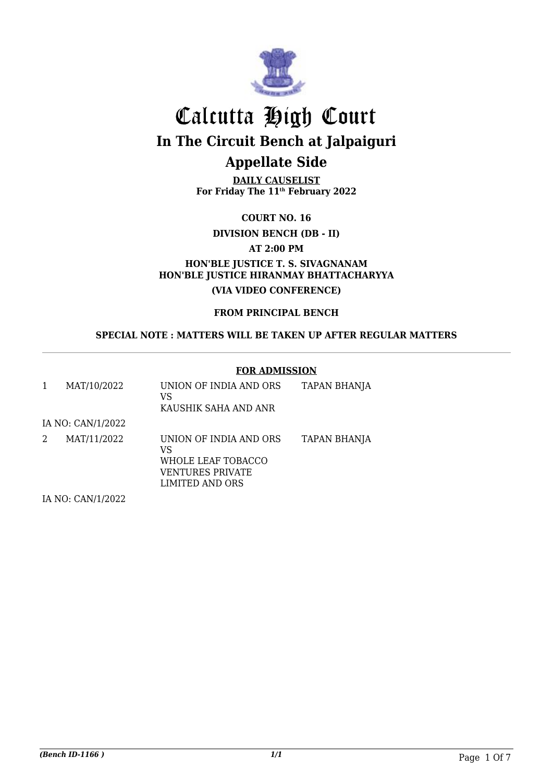

**DAILY CAUSELIST For Friday The 11th February 2022**

**COURT NO. 16**

**DIVISION BENCH (DB - II)**

**AT 2:00 PM**

**HON'BLE JUSTICE T. S. SIVAGNANAM HON'BLE JUSTICE HIRANMAY BHATTACHARYYA (VIA VIDEO CONFERENCE)**

**FROM PRINCIPAL BENCH**

**SPECIAL NOTE : MATTERS WILL BE TAKEN UP AFTER REGULAR MATTERS**

#### **FOR ADMISSION**

| 1 | MAT/10/2022                                                          | UNION OF INDIA AND ORS<br>VS<br>KAUSHIK SAHA AND ANR                                      | <b>TAPAN BHANJA</b> |
|---|----------------------------------------------------------------------|-------------------------------------------------------------------------------------------|---------------------|
|   | IA NO: CAN/1/2022                                                    |                                                                                           |                     |
| 2 | MAT/11/2022                                                          | UNION OF INDIA AND ORS<br>VS<br>WHOLE LEAF TOBACCO<br>VENTURES PRIVATE<br>LIMITED AND ORS | TAPAN BHANJA        |
|   | $H$ $\Lambda$ $D$ $\Lambda$ $\Lambda$ $H$ $H$ $P$ $\Lambda$ $\Omega$ |                                                                                           |                     |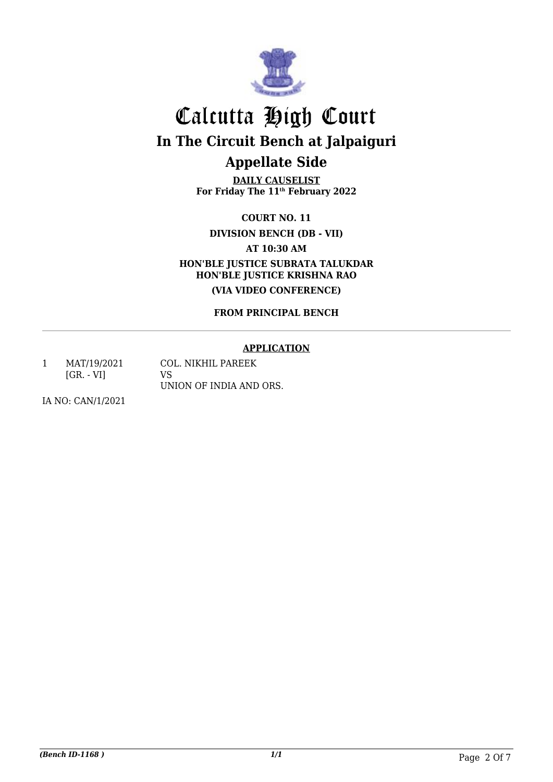

**DAILY CAUSELIST For Friday The 11th February 2022**

**COURT NO. 11 DIVISION BENCH (DB - VII)**

**AT 10:30 AM**

**HON'BLE JUSTICE SUBRATA TALUKDAR HON'BLE JUSTICE KRISHNA RAO (VIA VIDEO CONFERENCE)**

**FROM PRINCIPAL BENCH**

#### **APPLICATION**

1 MAT/19/2021 [GR. - VI] COL. NIKHIL PAREEK VS UNION OF INDIA AND ORS.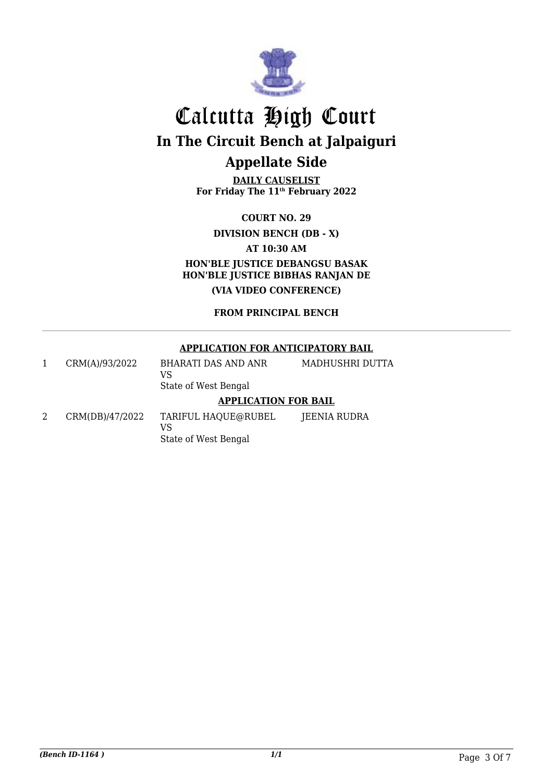

**DAILY CAUSELIST For Friday The 11th February 2022**

**COURT NO. 29**

**DIVISION BENCH (DB - X)**

**AT 10:30 AM**

**HON'BLE JUSTICE DEBANGSU BASAK HON'BLE JUSTICE BIBHAS RANJAN DE (VIA VIDEO CONFERENCE)**

**FROM PRINCIPAL BENCH**

#### **APPLICATION FOR ANTICIPATORY BAIL**

|        | CRM(A)/93/2022 | BHARATI DAS AND ANR<br>VS<br>State of West Bengal            | MADHUSHRI DUTTA |
|--------|----------------|--------------------------------------------------------------|-----------------|
|        |                | <b>APPLICATION FOR BAIL</b>                                  |                 |
| $\sim$ | 2715271170000  | $\overline{m}$ , difficient is a difficult of $\overline{m}$ |                 |

2 CRM(DB)/47/2022 TARIFUL HAQUE@RUBEL VS State of West Bengal JEENIA RUDRA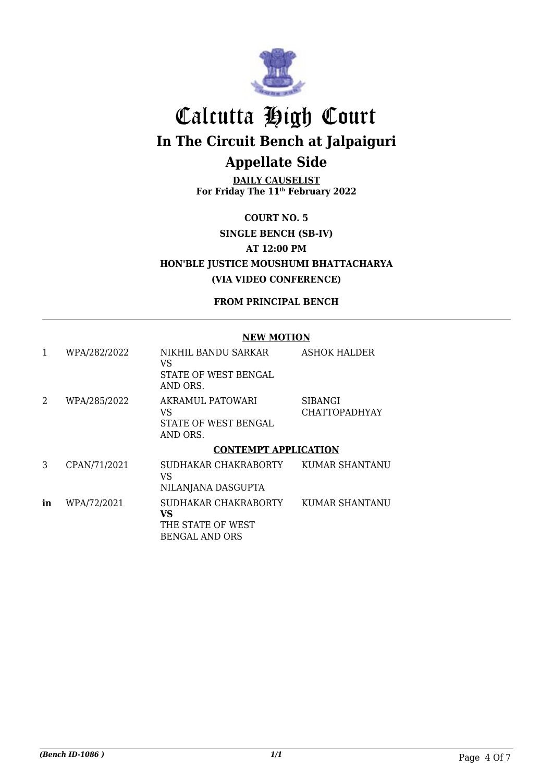

**DAILY CAUSELIST For Friday The 11th February 2022**

**COURT NO. 5 SINGLE BENCH (SB-IV) AT 12:00 PM HON'BLE JUSTICE MOUSHUMI BHATTACHARYA (VIA VIDEO CONFERENCE)**

#### **FROM PRINCIPAL BENCH**

#### **NEW MOTION**

| 1  | WPA/282/2022 | NIKHIL BANDU SARKAR<br>VS<br>STATE OF WEST BENGAL<br>AND ORS.            | <b>ASHOK HALDER</b>             |
|----|--------------|--------------------------------------------------------------------------|---------------------------------|
| 2  | WPA/285/2022 | AKRAMUL PATOWARI<br>VS<br>STATE OF WEST BENGAL<br>AND ORS.               | SIBANGI<br><b>CHATTOPADHYAY</b> |
|    |              | <b>CONTEMPT APPLICATION</b>                                              |                                 |
| 3  | CPAN/71/2021 | SUDHAKAR CHAKRABORTY<br>VS<br>NILANJANA DASGUPTA                         | KUMAR SHANTANU                  |
| in | WPA/72/2021  | SUDHAKAR CHAKRABORTY<br>VS<br>THE STATE OF WEST<br><b>BENGAL AND ORS</b> | <b>KUMAR SHANTANU</b>           |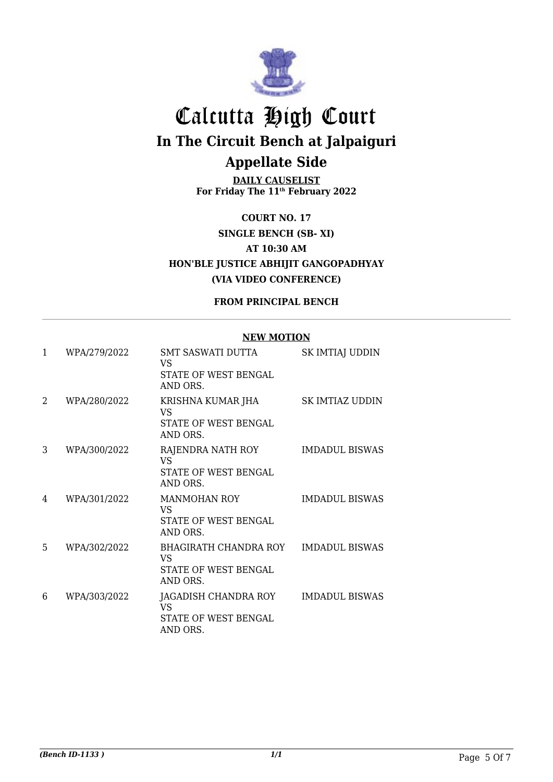

**DAILY CAUSELIST For Friday The 11th February 2022**

**COURT NO. 17 SINGLE BENCH (SB- XI) AT 10:30 AM HON'BLE JUSTICE ABHIJIT GANGOPADHYAY (VIA VIDEO CONFERENCE)**

**FROM PRINCIPAL BENCH**

#### **NEW MOTION**

| $\mathbf{1}$ | WPA/279/2022 | <b>SMT SASWATI DUTTA</b><br>VS<br>STATE OF WEST BENGAL<br>AND ORS.     | SK IMTIAJ UDDIN       |
|--------------|--------------|------------------------------------------------------------------------|-----------------------|
| 2            | WPA/280/2022 | KRISHNA KUMAR JHA<br>VS<br>STATE OF WEST BENGAL<br>AND ORS.            | SK IMTIAZ UDDIN       |
| 3            | WPA/300/2022 | RAJENDRA NATH ROY<br>VS.<br>STATE OF WEST BENGAL<br>AND ORS.           | <b>IMDADUL BISWAS</b> |
| 4            | WPA/301/2022 | <b>MANMOHAN ROY</b><br>VS<br>STATE OF WEST BENGAL<br>AND ORS.          | <b>IMDADUL BISWAS</b> |
| 5            | WPA/302/2022 | BHAGIRATH CHANDRA ROY<br><b>VS</b><br>STATE OF WEST BENGAL<br>AND ORS. | <b>IMDADUL BISWAS</b> |
| 6            | WPA/303/2022 | JAGADISH CHANDRA ROY<br>VS<br>STATE OF WEST BENGAL<br>AND ORS.         | <b>IMDADUL BISWAS</b> |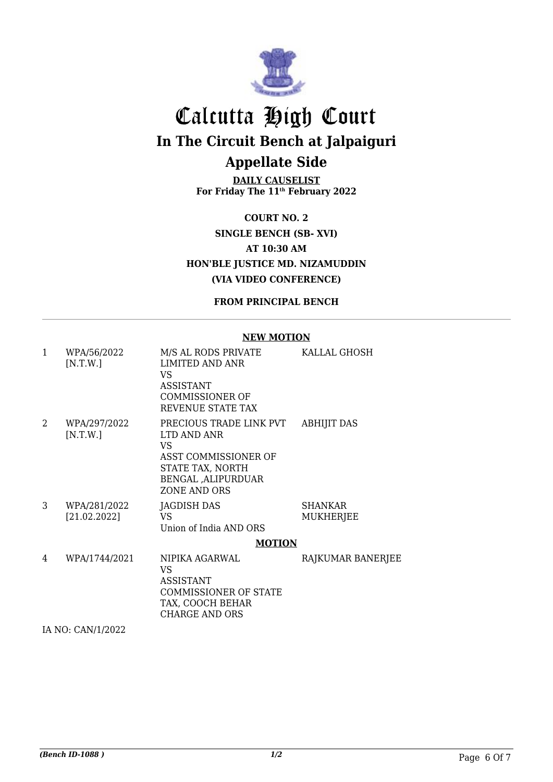

**DAILY CAUSELIST For Friday The 11th February 2022**

**COURT NO. 2 SINGLE BENCH (SB- XVI) AT 10:30 AM HON'BLE JUSTICE MD. NIZAMUDDIN (VIA VIDEO CONFERENCE)**

**FROM PRINCIPAL BENCH**

#### **NEW MOTION**

| $\mathbf{1}$ | WPA/56/2022<br>[N.T.W.]      | M/S AL RODS PRIVATE<br>LIMITED AND ANR<br><b>VS</b><br><b>ASSISTANT</b><br><b>COMMISSIONER OF</b><br>REVENUE STATE TAX          | KALLAL GHOSH                |
|--------------|------------------------------|---------------------------------------------------------------------------------------------------------------------------------|-----------------------------|
| 2            | WPA/297/2022<br>[N.T.W.]     | PRECIOUS TRADE LINK PVT<br>LTD AND ANR<br>VS<br>ASST COMMISSIONER OF<br>STATE TAX, NORTH<br>BENGAL , ALIPURDUAR<br>ZONE AND ORS | <b>ABHIJIT DAS</b>          |
| 3            | WPA/281/2022<br>[21.02.2022] | JAGDISH DAS<br>VS<br>Union of India AND ORS                                                                                     | <b>SHANKAR</b><br>MUKHERJEE |
|              |                              | <b>MOTION</b>                                                                                                                   |                             |
| 4            | WPA/1744/2021                | NIPIKA AGARWAL<br>VS<br><b>ASSISTANT</b><br><b>COMMISSIONER OF STATE</b><br>TAX, COOCH BEHAR<br><b>CHARGE AND ORS</b>           | RAJKUMAR BANERJEE           |